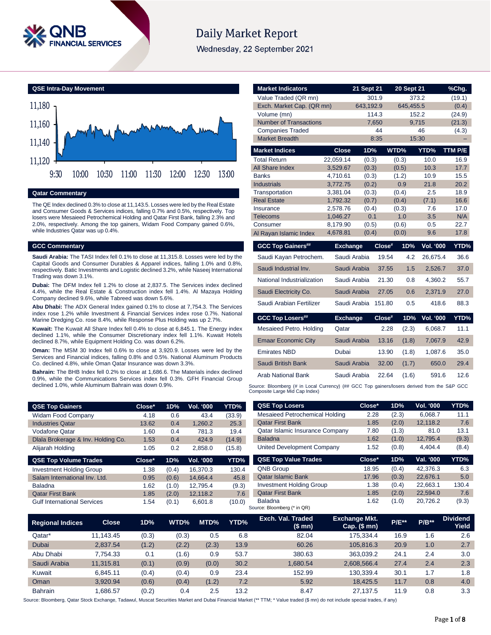

# **Daily Market Report**

Wednesday, 22 September 2021

**QSE Intra-Day Movement**



**Qatar Commentary**

The QE Index declined 0.3% to close at 11,143.5. Losses were led by the Real Estate and Consumer Goods & Services indices, falling 0.7% and 0.5%, respectively. Top losers were Mesaieed Petrochemical Holding and Qatar First Bank, falling 2.3% and 2.0%, respectively. Among the top gainers, Widam Food Company gained 0.6%, while Industries Qatar was up 0.4%.

### **GCC Commentary**

**Saudi Arabia:** The TASI Index fell 0.1% to close at 11,315.8. Losses were led by the Capital Goods and Consumer Durables & Apparel indices, falling 1.0% and 0.8%, respectively. Batic Investments and Logistic declined 3.2%, while Naseej International Trading was down 3.1%.

**Dubai:** The DFM Index fell 1.2% to close at 2,837.5. The Services index declined 4.4%, while the Real Estate & Construction index fell 1.4%. Al Mazaya Holding Company declined 9.6%, while Tabreed was down 5.6%.

**Abu Dhabi:** The ADX General Index gained 0.1% to close at 7,754.3. The Services index rose 1.2% while Investment & Financial Services index rose 0.7%. National Marine Dredging Co. rose 8.4%, while Response Plus Holding was up 2.7%.

**Kuwait:** The Kuwait All Share Index fell 0.4% to close at 6,845.1. The Energy index declined 1.1%, while the Consumer Discretionary index fell 1.1%. Kuwait Hotels declined 8.7%, while Equipment Holding Co. was down 6.2%.

**Oman:** The MSM 30 Index fell 0.6% to close at 3,920.9. Losses were led by the Services and Financial indices, falling 0.8% and 0.5%. National Aluminum Products Co. declined 4.8%, while Oman Qatar Insurance was down 3.3%.

**Bahrain:** The BHB Index fell 0.2% to close at 1,686.6. The Materials index declined 0.9%, while the Communications Services index fell 0.3%. GFH Financial Group declined 1.0%, while Aluminum Bahrain was down 0.9%.

| <b>Market Indicators</b>             |                      | 21 Sept 21     |           | <b>20 Sept 21</b> |                  | %Chg.        |
|--------------------------------------|----------------------|----------------|-----------|-------------------|------------------|--------------|
| Value Traded (QR mn)                 |                      |                | 301.9     |                   | 373.2            | (19.1)       |
| Exch. Market Cap. (QR mn)            |                      | 643,192.9      |           | 645,455.5         |                  | (0.4)        |
| Volume (mn)                          |                      |                | 114.3     |                   | 152.2            | (24.9)       |
| <b>Number of Transactions</b>        |                      |                | 7,650     |                   | 9,715            | (21.3)       |
| <b>Companies Traded</b>              |                      |                | 44        |                   | 46               | (4.3)        |
| <b>Market Breadth</b>                |                      |                | 8:35      |                   | 15:30            |              |
| <b>Market Indices</b>                | <b>Close</b>         | 1D%            |           | WTD%              | YTD%             | TTM P/E      |
| <b>Total Return</b>                  | 22,059.14            | (0.3)          |           | (0.3)             | 10.0             | 16.9         |
| All Share Index                      | 3,529.67             | (0.3)          |           | (0.5)             | 10.3             | 17.7         |
| <b>Banks</b>                         | 4,710.61             | (0.3)          |           | (1.2)             | 10.9             | 15.5         |
| <b>Industrials</b><br>Transportation | 3,772.75<br>3,381.04 | (0.2)<br>(0.3) |           | 0.9<br>(0.4)      | 21.8<br>2.5      | 20.2<br>18.9 |
| <b>Real Estate</b>                   | 1,792.32             | (0.7)          |           | (0.4)             | (7.1)            | 16.6         |
| Insurance                            | 2,578.76             | (0.4)          |           | (0.3)             | 7.6              | 17.0         |
| <b>Telecoms</b>                      | 1,046.27             | 0.1            |           | 1.0               | 3.5              | N/A          |
| Consumer                             | 8,179.90             | (0.5)          |           | (0.6)             | 0.5              | 22.7         |
| Al Rayan Islamic Index               | 4,678.81             | (0.4)          |           | (0.0)             | 9.6              | 17.8         |
|                                      |                      |                |           |                   |                  |              |
| <b>GCC Top Gainers##</b>             | <b>Exchange</b>      |                | $Close^*$ | 1D%               | <b>Vol. '000</b> | YTD%         |
| Saudi Kayan Petrochem.               |                      | Saudi Arabia   | 19.54     | 4.2               | 26,675.4         | 36.6         |
| Saudi Industrial Inv.                |                      | Saudi Arabia   | 37.55     | 1.5               | 2,526.7          | 37.0         |
| National Industrialization           |                      | Saudi Arabia   | 21.30     | 0.8               | 4,360.2          | 55.7         |
| Saudi Electricity Co.                |                      | Saudi Arabia   | 27.05     | 0.6               | 2,371.9          | 27.0         |
| Saudi Arabian Fertilizer             |                      | Saudi Arabia   | 151.80    | 0.5               | 418.6            | 88.3         |
| <b>GCC Top Losers##</b>              | <b>Exchange</b>      |                | Close#    | 1D%               | <b>Vol. '000</b> | YTD%         |
| Mesaieed Petro. Holding              | Qatar                |                | 2.28      | (2.3)             | 6,068.7          | 11.1         |
| <b>Emaar Economic City</b>           |                      | Saudi Arabia   | 13.16     | (1.8)             | 7,067.9          | 42.9         |
| Emirates NBD                         | Dubai                |                | 13.90     | (1.8)             | 1,087.6          | 35.0         |
| Saudi British Bank                   |                      | Saudi Arabia   | 32.00     | (1.7)             | 650.0            | 29.4         |
| Arab National Bank                   |                      | Saudi Arabia   | 22.64     | (1.6)             | 591.6            | 12.6         |

| <b>QSE Top Gainers</b>                                                                                                                        | Close* | 1D%   | Vol. '000        | YTD%   | <b>QSE Top Losers</b>           | Close* |
|-----------------------------------------------------------------------------------------------------------------------------------------------|--------|-------|------------------|--------|---------------------------------|--------|
| Widam Food Company                                                                                                                            | 4.18   | 0.6   | 43.4             | (33.9) | Mesaieed Petrochemical Holding  | 2.28   |
| <b>Industries Qatar</b>                                                                                                                       | 13.62  | 0.4   | 1,260.2          | 25.3   | <b>Oatar First Bank</b>         | 1.85   |
| <b>Vodafone Qatar</b>                                                                                                                         | 1.60   | 0.4   | 781.3            | 19.4   | Qatar Islamic Insurance Company | 7.80   |
| Diala Brokerage & Inv. Holding Co.                                                                                                            | 1.53   | 0.4   | 424.9            | (14.9) | <b>Baladna</b>                  | 1.62   |
| Alijarah Holding                                                                                                                              | 1.05   | 0.2   | 2.858.0          | (15.8) | United Development Company      | 1.52   |
|                                                                                                                                               |        |       |                  |        |                                 |        |
|                                                                                                                                               | Close* | 1D%   | <b>Vol. '000</b> | YTD%   | <b>QSE Top Value Trades</b>     | Close* |
|                                                                                                                                               | 1.38   | (0.4) | 16,370.3         | 130.4  | QNB Group                       | 18.95  |
|                                                                                                                                               | 0.95   | (0.6) | 14.664.4         | 45.8   | <b>Qatar Islamic Bank</b>       | 17.96  |
|                                                                                                                                               | 1.62   | (1.0) | 12,795.4         | (9.3)  | <b>Investment Holding Group</b> | 1.38   |
| <b>QSE Top Volume Trades</b><br><b>Investment Holding Group</b><br>Salam International Inv. Ltd.<br><b>Baladna</b><br><b>Qatar First Bank</b> | 1.85   | (2.0) | 12,118.2         | 7.6    | <b>Qatar First Bank</b>         | 1.85   |

| Mesaieed Petrochemical Holding  | 2.28   | (2.3) | 6,068.7   | 11.1  |
|---------------------------------|--------|-------|-----------|-------|
| <b>Qatar First Bank</b>         | 1.85   | (2.0) | 12,118.2  | 7.6   |
| Qatar Islamic Insurance Company | 7.80   | (1.3) | 81.0      | 13.1  |
| <b>Baladna</b>                  | 1.62   | (1.0) | 12,795.4  | (9.3) |
| United Development Company      | 1.52   | (0.8) | 4.404.4   | (8.4) |
| <b>QSE Top Value Trades</b>     | Close* | 1D%   | Val. '000 | YTD%  |
|                                 |        |       |           |       |
| <b>QNB Group</b>                | 18.95  | (0.4) | 42.376.3  | 6.3   |
| <b>Qatar Islamic Bank</b>       | 17.96  | (0.3) | 22,676.1  | 5.0   |
| <b>Investment Holding Group</b> | 1.38   | (0.4) | 22,663.1  | 130.4 |
| <b>Qatar First Bank</b>         | 1.85   | (2.0) | 22,594.0  | 7.6   |

| <b>Regional Indices</b> | <b>Close</b> | 1D%   | WTD%  | MTD%  | YTD% | Exch. Val. Traded<br>(\$mn) | <b>Exchange Mkt.</b><br>Cap. $($mn)$ | <b>P/E**</b> | $P/B**$ | <b>Dividend</b><br>Yield |
|-------------------------|--------------|-------|-------|-------|------|-----------------------------|--------------------------------------|--------------|---------|--------------------------|
| Qatar*                  | 11.143.45    | (0.3) | (0.3) | 0.5   | 6.8  | 82.04                       | 175.334.4                            | 16.9         | 1.6     | 2.6                      |
| Dubai                   | 2.837.54     | (1.2) | (2.2) | (2.3) | 13.9 | 60.26                       | 105.816.3                            | 20.9         | 1.0     | 2.7                      |
| Abu Dhabi               | 7.754.33     | 0.1   | (1.6) | 0.9   | 53.7 | 380.63                      | 363.039.2                            | 24.1         | 2.4     | 3.0                      |
| Saudi Arabia            | 11.315.81    | (0.1) | (0.9) | (0.0) | 30.2 | 1.680.54                    | 2.608.566.4                          | 27.4         | 2.4     | 2.3                      |
| Kuwait                  | 6.845.11     | (0.4) | (0.4) | 0.9   | 23.4 | 152.99                      | 130.339.4                            | 30.1         | 1.7     | 1.8                      |
| Oman                    | 3.920.94     | (0.6) | (0.4) | (1.2) | 7.2  | 5.92                        | 18.425.5                             | 11.7         | 0.8     | 4.0                      |
| <b>Bahrain</b>          | .686.57      | (0.2) | 0.4   | 2.5   | 13.2 | 8.47                        | 27.137.5                             | 11.9         | 0.8     | 3.3                      |

Source: Bloomberg, Qatar Stock Exchange, Tadawul, Muscat Securities Market and Dubai Financial Market (\*\* TTM; \* Value traded (\$ mn) do not include special trades, if any)

**QSE Top Losers Close\* 1D% Vol. '000 YTD%**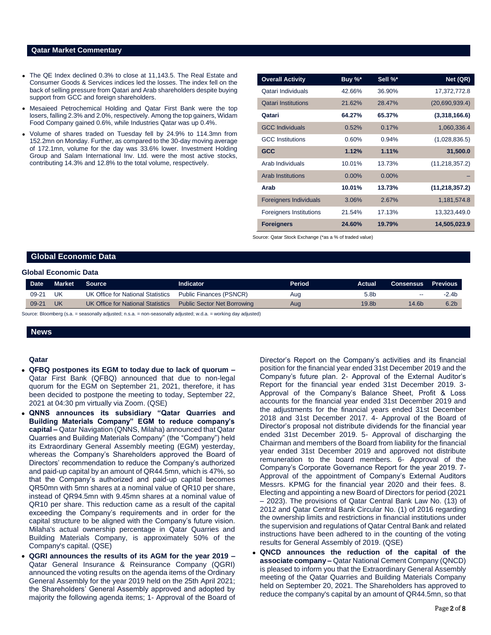### **Qatar Market Commentary**

- The QE Index declined 0.3% to close at 11,143.5. The Real Estate and Consumer Goods & Services indices led the losses. The index fell on the back of selling pressure from Qatari and Arab shareholders despite buying support from GCC and foreign shareholders.
- Mesaieed Petrochemical Holding and Qatar First Bank were the top losers, falling 2.3% and 2.0%, respectively. Among the top gainers, Widam Food Company gained 0.6%, while Industries Qatar was up 0.4%.
- Volume of shares traded on Tuesday fell by 24.9% to 114.3mn from 152.2mn on Monday. Further, as compared to the 30-day moving average of 172.1mn, volume for the day was 33.6% lower. Investment Holding Group and Salam International Inv. Ltd. were the most active stocks, contributing 14.3% and 12.8% to the total volume, respectively.

| <b>Overall Activity</b>        | Buy %* | Sell %* | Net (QR)         |
|--------------------------------|--------|---------|------------------|
| Qatari Individuals             | 42.66% | 36.90%  | 17,372,772.8     |
| <b>Qatari Institutions</b>     | 21.62% | 28.47%  | (20,690,939.4)   |
| Qatari                         | 64.27% | 65.37%  | (3,318,166.6)    |
| <b>GCC Individuals</b>         | 0.52%  | 0.17%   | 1,060,336.4      |
| <b>GCC</b> Institutions        | 0.60%  | 0.94%   | (1,028,836.5)    |
| <b>GCC</b>                     | 1.12%  | 1.11%   | 31,500.0         |
| Arab Individuals               | 10.01% | 13.73%  | (11, 218, 357.2) |
| <b>Arab Institutions</b>       | 0.00%  | 0.00%   |                  |
| Arab                           | 10.01% | 13.73%  | (11, 218, 357.2) |
| <b>Foreigners Individuals</b>  | 3.06%  | 2.67%   | 1,181,574.8      |
| <b>Foreigners Institutions</b> | 21.54% | 17.13%  | 13,323,449.0     |
| <b>Foreigners</b>              | 24.60% | 19.79%  | 14,505,023.9     |

Source: Qatar Stock Exchange (\*as a % of traded value)

# **Global Economic Data**

### **Global Economic Data**

| <b>Date</b> | <b>Market</b> | <b>Source</b>                                                                                            | <b>Indicator</b>        | Period | Actual           | <b>Consensus</b>         | <b>Previous</b>  |
|-------------|---------------|----------------------------------------------------------------------------------------------------------|-------------------------|--------|------------------|--------------------------|------------------|
| 09-21       | UK            | UK Office for National Statistics                                                                        | Public Finances (PSNCR) | Aug    | 5.8 <sub>b</sub> | $\overline{\phantom{a}}$ | $-2.4b$          |
| $09 - 21$   | UK            | UK Office for National Statistics Public Sector Net Borrowing                                            |                         | Aug    | 19.8b            | 14.6b                    | 6.2 <sub>b</sub> |
|             |               | Course: Pleambers (e.g. - secondly odjusted: n.g. - nen secondly odjusted: w.d.e. - werking doubdiusted) |                         |        |                  |                          |                  |

Source: Bloomberg (s.a. = seasonally adjusted; n.s.a. = non-seasonally adjusted; w.d.a. = working day adjusted)

# **News**

# **Qatar**

- **QFBQ postpones its EGM to today due to lack of quorum –** Qatar First Bank (QFBQ) announced that due to non-legal quorum for the EGM on September 21, 2021, therefore, it has been decided to postpone the meeting to today, September 22, 2021 at 04:30 pm virtually via Zoom. (QSE)
- **QNNS announces its subsidiary "Qatar Quarries and Building Materials Company" EGM to reduce company's capital –** Qatar Navigation (QNNS, Milaha) announced that Qatar Quarries and Building Materials Company" (the "Company") held its Extraordinary General Assembly meeting (EGM) yesterday, whereas the Company's Shareholders approved the Board of Directors' recommendation to reduce the Company's authorized and paid-up capital by an amount of QR44.5mn, which is 47%, so that the Company's authorized and paid-up capital becomes QR50mn with 5mn shares at a nominal value of QR10 per share, instead of QR94.5mn with 9.45mn shares at a nominal value of QR10 per share. This reduction came as a result of the capital exceeding the Company's requirements and in order for the capital structure to be aligned with the Company's future vision. Milaha's actual ownership percentage in Qatar Quarries and Building Materials Company, is approximately 50% of the Company's capital. (QSE)
- **QGRI announces the results of its AGM for the year 2019 –** Qatar General Insurance & Reinsurance Company (QGRI) announced the voting results on the agenda items of the Ordinary General Assembly for the year 2019 held on the 25th April 2021; the Shareholders' General Assembly approved and adopted by majority the following agenda items; 1- Approval of the Board of

Director's Report on the Company's activities and its financial position for the financial year ended 31st December 2019 and the Company's future plan. 2- Approval of the External Auditor's Report for the financial year ended 31st December 2019. 3- Approval of the Company's Balance Sheet, Profit & Loss accounts for the financial year ended 31st December 2019 and the adjustments for the financial years ended 31st December 2018 and 31st December 2017. 4- Approval of the Board of Director's proposal not distribute dividends for the financial year ended 31st December 2019. 5- Approval of discharging the Chairman and members of the Board from liability for the financial year ended 31st December 2019 and approved not distribute remuneration to the board members. 6- Approval of the Company's Corporate Governance Report for the year 2019. 7- Approval of the appointment of Company's External Auditors Messrs. KPMG for the financial year 2020 and their fees. 8. Electing and appointing a new Board of Directors for period (2021 – 2023). The provisions of Qatar Central Bank Law No. (13) of 2012 and Qatar Central Bank Circular No. (1) of 2016 regarding the ownership limits and restrictions in financial institutions under the supervision and regulations of Qatar Central Bank and related instructions have been adhered to in the counting of the voting results for General Assembly of 2019. (QSE)

 **QNCD announces the reduction of the capital of the associate company –** Qatar National Cement Company (QNCD) is pleased to inform you that the Extraordinary General Assembly meeting of the Qatar Quarries and Building Materials Company held on September 20, 2021. The Shareholders has approved to reduce the company's capital by an amount of QR44.5mn, so that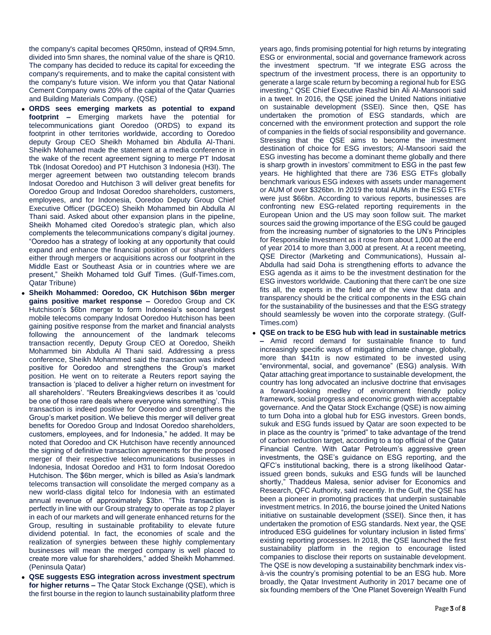the company's capital becomes QR50mn, instead of QR94.5mn, divided into 5mn shares, the nominal value of the share is QR10. The company has decided to reduce its capital for exceeding the company's requirements, and to make the capital consistent with the company's future vision. We inform you that Qatar National Cement Company owns 20% of the capital of the Qatar Quarries and Building Materials Company. (QSE)

- **ORDS sees emerging markets as potential to expand footprint –** Emerging markets have the potential for telecommunications giant Ooredoo (ORDS) to expand its footprint in other territories worldwide, according to Ooredoo deputy Group CEO Sheikh Mohamed bin Abdulla Al-Thani. Sheikh Mohamed made the statement at a media conference in the wake of the recent agreement signing to merge PT Indosat Tbk (Indosat Ooredoo) and PT Hutchison 3 Indonesia (H3I). The merger agreement between two outstanding telecom brands Indosat Ooredoo and Hutchison 3 will deliver great benefits for Ooredoo Group and Indosat Ooredoo shareholders, customers, employees, and for Indonesia, Ooredoo Deputy Group Chief Executive Officer (DGCEO) Sheikh Mohammed bin Abdulla Al Thani said. Asked about other expansion plans in the pipeline, Sheikh Mohamed cited Ooredoo's strategic plan, which also complements the telecommunications company's digital journey. "Ooredoo has a strategy of looking at any opportunity that could expand and enhance the financial position of our shareholders either through mergers or acquisitions across our footprint in the Middle East or Southeast Asia or in countries where we are present," Sheikh Mohamed told Gulf Times. (Gulf-Times.com, Qatar Tribune)
- **Sheikh Mohammed: Ooredoo, CK Hutchison \$6bn merger gains positive market response –** Ooredoo Group and CK Hutchison's \$6bn merger to form Indonesia's second largest mobile telecoms company Indosat Ooredoo Hutchison has been gaining positive response from the market and financial analysts following the announcement of the landmark telecoms transaction recently, Deputy Group CEO at Ooredoo, Sheikh Mohammed bin Abdulla Al Thani said. Addressing a press conference, Sheikh Mohammed said the transaction was indeed positive for Ooredoo and strengthens the Group's market position. He went on to reiterate a Reuters report saying the transaction is 'placed to deliver a higher return on investment for all shareholders'. "Reuters Breakingviews describes it as 'could be one of those rare deals where everyone wins something'. This transaction is indeed positive for Ooredoo and strengthens the Group's market position. We believe this merger will deliver great benefits for Ooredoo Group and Indosat Ooredoo shareholders, customers, employees, and for Indonesia," he added. It may be noted that Ooredoo and CK Hutchison have recently announced the signing of definitive transaction agreements for the proposed merger of their respective telecommunications businesses in Indonesia, Indosat Ooredoo and H31 to form Indosat Ooredoo Hutchison. The \$6bn merger, which is billed as Asia's landmark telecoms transaction will consolidate the merged company as a new world-class digital telco for Indonesia with an estimated annual revenue of approximately \$3bn. "This transaction is perfectly in line with our Group strategy to operate as top 2 player in each of our markets and will generate enhanced returns for the Group, resulting in sustainable profitability to elevate future dividend potential. In fact, the economies of scale and the realization of synergies between these highly complementary businesses will mean the merged company is well placed to create more value for shareholders," added Sheikh Mohammed. (Peninsula Qatar)
- **QSE suggests ESG integration across investment spectrum for higher returns –** The Qatar Stock Exchange (QSE), which is the first bourse in the region to launch sustainability platform three

years ago, finds promising potential for high returns by integrating ESG or environmental, social and governance framework across the investment spectrum. "If we integrate ESG across the spectrum of the investment process, there is an opportunity to generate a large scale return by becoming a regional hub for ESG investing," QSE Chief Executive Rashid bin Ali Al-Mansoori said in a tweet. In 2016, the QSE joined the United Nations initiative on sustainable development (SSEI). Since then, QSE has undertaken the promotion of ESG standards, which are concerned with the environment protection and support the role of companies in the fields of social responsibility and governance. Stressing that the QSE aims to become the investment destination of choice for ESG investors; Al-Mansoori said the ESG investing has become a dominant theme globally and there is sharp growth in investors' commitment to ESG in the past few years. He highlighted that there are 736 ESG ETFs globally benchmark various ESG indexes with assets under management or AUM of over \$326bn. In 2019 the total AUMs in the ESG ETFs were just \$66bn. According to various reports, businesses are confronting new ESG-related reporting requirements in the European Union and the US may soon follow suit. The market sources said the growing importance of the ESG could be gauged from the increasing number of signatories to the UN's Principles for Responsible Investment as it rose from about 1,000 at the end of year 2014 to more than 3,000 at present. At a recent meeting, QSE Director (Marketing and Communications), Hussain al-Abdulla had said Doha is strengthening efforts to advance the ESG agenda as it aims to be the investment destination for the ESG investors worldwide. Cautioning that there can't be one size fits all, the experts in the field are of the view that data and transparency should be the critical components in the ESG chain for the sustainability of the businesses and that the ESG strategy should seamlessly be woven into the corporate strategy. (Gulf-Times.com)

 **QSE on track to be ESG hub with lead in sustainable metrics –** Amid record demand for sustainable finance to fund increasingly specific ways of mitigating climate change, globally, more than \$41tn is now estimated to be invested using "environmental, social, and governance" (ESG) analysis. With Qatar attaching great importance to sustainable development, the country has long advocated an inclusive doctrine that envisages a forward-looking medley of environment friendly policy framework, social progress and economic growth with acceptable governance. And the Qatar Stock Exchange (QSE) is now aiming to turn Doha into a global hub for ESG investors. Green bonds, sukuk and ESG funds issued by Qatar are soon expected to be in place as the country is "primed" to take advantage of the trend of carbon reduction target, according to a top official of the Qatar Financial Centre. With Qatar Petroleum's aggressive green investments, the QSE's guidance on ESG reporting, and the QFC's institutional backing, there is a strong likelihood Qatarissued green bonds, sukuks and ESG funds will be launched shortly," Thaddeus Malesa, senior adviser for Economics and Research, QFC Authority, said recently. In the Gulf, the QSE has been a pioneer in promoting practices that underpin sustainable investment metrics. In 2016, the bourse joined the United Nations initiative on sustainable development (SSEI). Since then, it has undertaken the promotion of ESG standards. Next year, the QSE introduced ESG guidelines for voluntary inclusion in listed firms' existing reporting processes. In 2018, the QSE launched the first sustainability platform in the region to encourage listed companies to disclose their reports on sustainable development. The QSE is now developing a sustainability benchmark index visà-vis the country's promising potential to be an ESG hub. More broadly, the Qatar Investment Authority in 2017 became one of six founding members of the 'One Planet Sovereign Wealth Fund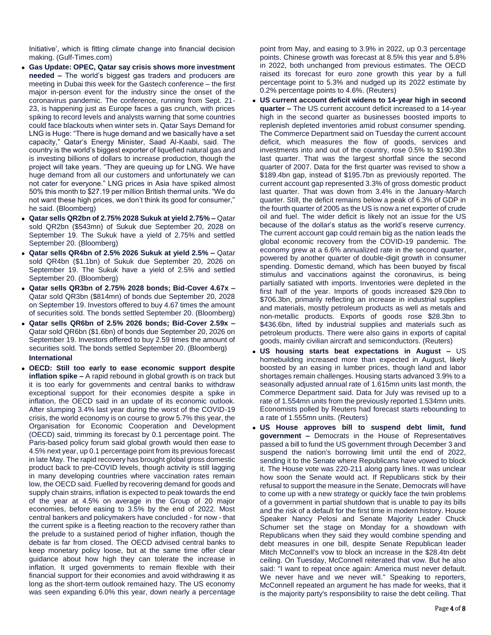Initiative', which is fitting climate change into financial decision making. (Gulf-Times.com)

- **Gas Update: OPEC, Qatar say crisis shows more investment needed –** The world's biggest gas traders and producers are meeting in Dubai this week for the Gastech conference – the first major in-person event for the industry since the onset of the coronavirus pandemic. The conference, running from Sept. 21- 23, is happening just as Europe faces a gas crunch, with prices spiking to record levels and analysts warning that some countries could face blackouts when winter sets in. Qatar Says Demand for LNG is Huge: "There is huge demand and we basically have a set capacity," Qatar's Energy Minister, Saad Al-Kaabi, said. The country is the world's biggest exporter of liquefied natural gas and is investing billions of dollars to increase production, though the project will take years. "They are queuing up for LNG. We have huge demand from all our customers and unfortunately we can not cater for everyone." LNG prices in Asia have spiked almost 50% this month to \$27.19 per million British thermal units. "We do not want these high prices, we don't think its good for consumer," he said. (Bloomberg)
- **Qatar sells QR2bn of 2.75% 2028 Sukuk at yield 2.75% –** Qatar sold QR2bn (\$543mn) of Sukuk due September 20, 2028 on September 19. The Sukuk have a yield of 2.75% and settled September 20. (Bloomberg)
- **Qatar sells QR4bn of 2.5% 2026 Sukuk at yield 2.5% –** Qatar sold QR4bn (\$1.1bn) of Sukuk due September 20, 2026 on September 19. The Sukuk have a yield of 2.5% and settled September 20. (Bloomberg)
- **Qatar sells QR3bn of 2.75% 2028 bonds; Bid-Cover 4.67x –** Qatar sold QR3bn (\$814mn) of bonds due September 20, 2028 on September 19. Investors offered to buy 4.67 times the amount of securities sold. The bonds settled September 20. (Bloomberg)
- **Qatar sells QR6bn of 2.5% 2026 bonds; Bid-Cover 2.59x –** Qatar sold QR6bn (\$1.6bn) of bonds due September 20, 2026 on September 19. Investors offered to buy 2.59 times the amount of securities sold. The bonds settled September 20. (Bloomberg) **International**
- **OECD: Still too early to ease economic support despite inflation spike –** A rapid rebound in global growth is on track but it is too early for governments and central banks to withdraw exceptional support for their economies despite a spike in inflation, the OECD said in an update of its economic outlook. After slumping 3.4% last year during the worst of the COVID-19 crisis, the world economy is on course to grow 5.7% this year, the Organisation for Economic Cooperation and Development (OECD) said, trimming its forecast by 0.1 percentage point. The Paris-based policy forum said global growth would then ease to 4.5% next year, up 0.1 percentage point from its previous forecast in late May. The rapid recovery has brought global gross domestic product back to pre-COVID levels, though activity is still lagging in many developing countries where vaccination rates remain low, the OECD said. Fuelled by recovering demand for goods and supply chain strains, inflation is expected to peak towards the end of the year at 4.5% on average in the Group of 20 major economies, before easing to 3.5% by the end of 2022. Most central bankers and policymakers have concluded - for now - that the current spike is a fleeting reaction to the recovery rather than the prelude to a sustained period of higher inflation, though the debate is far from closed. The OECD advised central banks to keep monetary policy loose, but at the same time offer clear guidance about how high they can tolerate the increase in inflation. It urged governments to remain flexible with their financial support for their economies and avoid withdrawing it as long as the short-term outlook remained hazy. The US economy was seen expanding 6.0% this year, down nearly a percentage

point from May, and easing to 3.9% in 2022, up 0.3 percentage points. Chinese growth was forecast at 8.5% this year and 5.8% in 2022, both unchanged from previous estimates. The OECD raised its forecast for euro zone growth this year by a full percentage point to 5.3% and nudged up its 2022 estimate by 0.2% percentage points to 4.6%. (Reuters)

- **US current account deficit widens to 14-year high in second quarter –** The US current account deficit increased to a 14-year high in the second quarter as businesses boosted imports to replenish depleted inventories amid robust consumer spending. The Commerce Department said on Tuesday the current account deficit, which measures the flow of goods, services and investments into and out of the country, rose 0.5% to \$190.3bn last quarter. That was the largest shortfall since the second quarter of 2007. Data for the first quarter was revised to show a \$189.4bn gap, instead of \$195.7bn as previously reported. The current account gap represented 3.3% of gross domestic product last quarter. That was down from 3.4% in the January-March quarter. Still, the deficit remains below a peak of 6.3% of GDP in the fourth quarter of 2005 as the US is now a net exporter of crude oil and fuel. The wider deficit is likely not an issue for the US because of the dollar's status as the world's reserve currency. The current account gap could remain big as the nation leads the global economic recovery from the COVID-19 pandemic. The economy grew at a 6.6% annualized rate in the second quarter, powered by another quarter of double-digit growth in consumer spending. Domestic demand, which has been buoyed by fiscal stimulus and vaccinations against the coronavirus, is being partially satiated with imports. Inventories were depleted in the first half of the year. Imports of goods increased \$29.0bn to \$706.3bn, primarily reflecting an increase in industrial supplies and materials, mostly petroleum products as well as metals and non-metallic products. Exports of goods rose \$28.3bn to \$436.6bn, lifted by industrial supplies and materials such as petroleum products. There were also gains in exports of capital goods, mainly civilian aircraft and semiconductors. (Reuters)
- **US housing starts beat expectations in August –** US homebuilding increased more than expected in August, likely boosted by an easing in lumber prices, though land and labor shortages remain challenges. Housing starts advanced 3.9% to a seasonally adjusted annual rate of 1.615mn units last month, the Commerce Department said. Data for July was revised up to a rate of 1.554mn units from the previously reported 1.534mn units. Economists polled by Reuters had forecast starts rebounding to a rate of 1.555mn units. (Reuters)
- **US House approves bill to suspend debt limit, fund government –** Democrats in the House of Representatives passed a bill to fund the US government through December 3 and suspend the nation's borrowing limit until the end of 2022, sending it to the Senate where Republicans have vowed to block it. The House vote was 220-211 along party lines. It was unclear how soon the Senate would act. If Republicans stick by their refusal to support the measure in the Senate, Democrats will have to come up with a new strategy or quickly face the twin problems of a government in partial shutdown that is unable to pay its bills and the risk of a default for the first time in modern history. House Speaker Nancy Pelosi and Senate Majority Leader Chuck Schumer set the stage on Monday for a showdown with Republicans when they said they would combine spending and debt measures in one bill, despite Senate Republican leader Mitch McConnell's vow to block an increase in the \$28.4tn debt ceiling. On Tuesday, McConnell reiterated that vow. But he also said: "I want to repeat once again: America must never default. We never have and we never will." Speaking to reporters, McConnell repeated an argument he has made for weeks, that it is the majority party's responsibility to raise the debt ceiling. That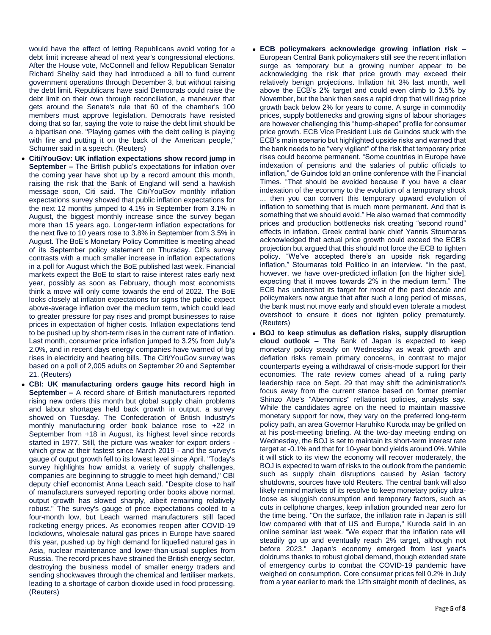would have the effect of letting Republicans avoid voting for a debt limit increase ahead of next year's congressional elections. After the House vote, McConnell and fellow Republican Senator Richard Shelby said they had introduced a bill to fund current government operations through December 3, but without raising the debt limit. Republicans have said Democrats could raise the debt limit on their own through reconciliation, a maneuver that gets around the Senate's rule that 60 of the chamber's 100 members must approve legislation. Democrats have resisted doing that so far, saying the vote to raise the debt limit should be a bipartisan one. "Playing games with the debt ceiling is playing with fire and putting it on the back of the American people," Schumer said in a speech. (Reuters)

- **Citi/YouGov: UK inflation expectations show record jump in September –** The British public's expectations for inflation over the coming year have shot up by a record amount this month, raising the risk that the Bank of England will send a hawkish message soon, Citi said. The Citi/YouGov monthly inflation expectations survey showed that public inflation expectations for the next 12 months jumped to 4.1% in September from 3.1% in August, the biggest monthly increase since the survey began more than 15 years ago. Longer-term inflation expectations for the next five to 10 years rose to 3.8% in September from 3.5% in August. The BoE's Monetary Policy Committee is meeting ahead of its September policy statement on Thursday. Citi's survey contrasts with a much smaller increase in inflation expectations in a poll for August which the BoE published last week. Financial markets expect the BoE to start to raise interest rates early next year, possibly as soon as February, though most economists think a move will only come towards the end of 2022. The BoE looks closely at inflation expectations for signs the public expect above-average inflation over the medium term, which could lead to greater pressure for pay rises and prompt businesses to raise prices in expectation of higher costs. Inflation expectations tend to be pushed up by short-term rises in the current rate of inflation. Last month, consumer price inflation jumped to 3.2% from July's 2.0%, and in recent days energy companies have warned of big rises in electricity and heating bills. The Citi/YouGov survey was based on a poll of 2,005 adults on September 20 and September 21. (Reuters)
- **CBI: UK manufacturing orders gauge hits record high in September –** A record share of British manufacturers reported rising new orders this month but global supply chain problems and labour shortages held back growth in output, a survey showed on Tuesday. The Confederation of British Industry's monthly manufacturing order book balance rose to +22 in September from +18 in August, its highest level since records started in 1977. Still, the picture was weaker for export orders which grew at their fastest since March 2019 - and the survey's gauge of output growth fell to its lowest level since April. "Today's survey highlights how amidst a variety of supply challenges, companies are beginning to struggle to meet high demand," CBI deputy chief economist Anna Leach said. "Despite close to half of manufacturers surveyed reporting order books above normal, output growth has slowed sharply, albeit remaining relatively robust." The survey's gauge of price expectations cooled to a four-month low, but Leach warned manufacturers still faced rocketing energy prices. As economies reopen after COVID-19 lockdowns, wholesale natural gas prices in Europe have soared this year, pushed up by high demand for liquefied natural gas in Asia, nuclear maintenance and lower-than-usual supplies from Russia. The record prices have strained the British energy sector, destroying the business model of smaller energy traders and sending shockwaves through the chemical and fertiliser markets, leading to a shortage of carbon dioxide used in food processing. (Reuters)

 **ECB policymakers acknowledge growing inflation risk –** European Central Bank policymakers still see the recent inflation surge as temporary but a growing number appear to be acknowledging the risk that price growth may exceed their relatively benign projections. Inflation hit 3% last month, well above the ECB's 2% target and could even climb to 3.5% by November, but the bank then sees a rapid drop that will drag price growth back below 2% for years to come. A surge in commodity prices, supply bottlenecks and growing signs of labour shortages are however challenging this "hump-shaped" profile for consumer price growth. ECB Vice President Luis de Guindos stuck with the ECB's main scenario but highlighted upside risks and warned that the bank needs to be "very vigilant" of the risk that temporary price rises could become permanent. "Some countries in Europe have indexation of pensions and the salaries of public officials to inflation," de Guindos told an online conference with the Financial Times. "That should be avoided because if you have a clear indexation of the economy to the evolution of a temporary shock

... then you can convert this temporary upward evolution of inflation to something that is much more permanent. And that is something that we should avoid." He also warned that commodity prices and production bottlenecks risk creating "second round" effects in inflation. Greek central bank chief Yannis Stournaras acknowledged that actual price growth could exceed the ECB's projection but argued that this should not force the ECB to tighten policy. "We've accepted there's an upside risk regarding inflation," Stournaras told Politico in an interview. "In the past, however, we have over-predicted inflation [on the higher side], expecting that it moves towards 2% in the medium term." The ECB has undershot its target for most of the past decade and policymakers now argue that after such a long period of misses, the bank must not move early and should even tolerate a modest overshoot to ensure it does not tighten policy prematurely. (Reuters)

 **BOJ to keep stimulus as deflation risks, supply disruption cloud outlook –** The Bank of Japan is expected to keep monetary policy steady on Wednesday as weak growth and deflation risks remain primary concerns, in contrast to major counterparts eyeing a withdrawal of crisis-mode support for their economies. The rate review comes ahead of a ruling party leadership race on Sept. 29 that may shift the administration's focus away from the current stance based on former premier Shinzo Abe's "Abenomics" reflationist policies, analysts say. While the candidates agree on the need to maintain massive monetary support for now, they vary on the preferred long-term policy path, an area Governor Haruhiko Kuroda may be grilled on at his post-meeting briefing. At the two-day meeting ending on Wednesday, the BOJ is set to maintain its short-term interest rate target at -0.1% and that for 10-year bond yields around 0%. While it will stick to its view the economy will recover moderately, the BOJ is expected to warn of risks to the outlook from the pandemic such as supply chain disruptions caused by Asian factory shutdowns, sources have told Reuters. The central bank will also likely remind markets of its resolve to keep monetary policy ultraloose as sluggish consumption and temporary factors, such as cuts in cellphone charges, keep inflation grounded near zero for the time being. "On the surface, the inflation rate in Japan is still low compared with that of US and Europe," Kuroda said in an online seminar last week. "We expect that the inflation rate will steadily go up and eventually reach 2% target, although not before 2023." Japan's economy emerged from last year's doldrums thanks to robust global demand, though extended state of emergency curbs to combat the COVID-19 pandemic have weighed on consumption. Core consumer prices fell 0.2% in July from a year earlier to mark the 12th straight month of declines, as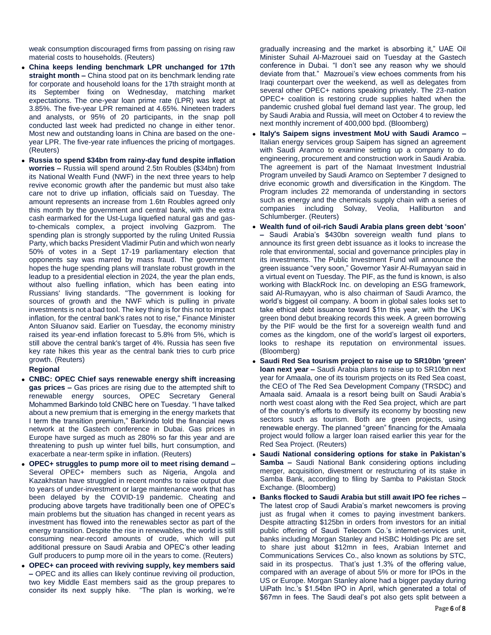weak consumption discouraged firms from passing on rising raw material costs to households. (Reuters)

- **China keeps lending benchmark LPR unchanged for 17th straight month –** China stood pat on its benchmark lending rate for corporate and household loans for the 17th straight month at its September fixing on Wednesday, matching market expectations. The one-year loan prime rate (LPR) was kept at 3.85%. The five-year LPR remained at 4.65%. Nineteen traders and analysts, or 95% of 20 participants, in the snap poll conducted last week had predicted no change in either tenor. Most new and outstanding loans in China are based on the oneyear LPR. The five-year rate influences the pricing of mortgages. (Reuters)
- **Russia to spend \$34bn from rainy-day fund despite inflation worries –** Russia will spend around 2.5tn Roubles (\$34bn) from its National Wealth Fund (NWF) in the next three years to help revive economic growth after the pandemic but must also take care not to drive up inflation, officials said on Tuesday. The amount represents an increase from 1.6tn Roubles agreed only this month by the government and central bank, with the extra cash earmarked for the Ust-Luga liquefied natural gas and gasto-chemicals complex, a project involving Gazprom. The spending plan is strongly supported by the ruling United Russia Party, which backs President Vladimir Putin and which won nearly 50% of votes in a Sept 17-19 parliamentary election that opponents say was marred by mass fraud. The government hopes the huge spending plans will translate robust growth in the leadup to a presidential election in 2024, the year the plan ends, without also fuelling inflation, which has been eating into Russians' living standards. "The government is looking for sources of growth and the NWF which is pulling in private investments is not a bad tool. The key thing is for this not to impact inflation, for the central bank's rates not to rise," Finance Minister Anton Siluanov said. Earlier on Tuesday, the economy ministry raised its year-end inflation forecast to 5.8% from 5%, which is still above the central bank's target of 4%. Russia has seen five key rate hikes this year as the central bank tries to curb price growth. (Reuters)

# **Regional**

- **CNBC: OPEC Chief says renewable energy shift increasing gas prices –** Gas prices are rising due to the attempted shift to renewable energy sources, OPEC Secretary General Mohammed Barkindo told CNBC here on Tuesday. "I have talked about a new premium that is emerging in the energy markets that I term the transition premium," Barkindo told the financial news network at the Gastech conference in Dubai. Gas prices in Europe have surged as much as 280% so far this year and are threatening to push up winter fuel bills, hurt consumption, and exacerbate a near-term spike in inflation. (Reuters)
- **OPEC+ struggles to pump more oil to meet rising demand –** Several OPEC+ members such as Nigeria, Angola and Kazakhstan have struggled in recent months to raise output due to years of under-investment or large maintenance work that has been delayed by the COVID-19 pandemic. Cheating and producing above targets have traditionally been one of OPEC's main problems but the situation has changed in recent years as investment has flowed into the renewables sector as part of the energy transition. Despite the rise in renewables, the world is still consuming near-record amounts of crude, which will put additional pressure on Saudi Arabia and OPEC's other leading Gulf producers to pump more oil in the years to come. (Reuters)
- **OPEC+ can proceed with reviving supply, key members said –** OPEC and its allies can likely continue reviving oil production, two key Middle East members said as the group prepares to consider its next supply hike. "The plan is working, we're

gradually increasing and the market is absorbing it," UAE Oil Minister Suhail Al-Mazrouei said on Tuesday at the Gastech conference in Dubai. "I don't see any reason why we should deviate from that." Mazrouei's view echoes comments from his Iraqi counterpart over the weekend, as well as delegates from several other OPEC+ nations speaking privately. The 23-nation OPEC+ coalition is restoring crude supplies halted when the pandemic crushed global fuel demand last year. The group, led by Saudi Arabia and Russia, will meet on October 4 to review the next monthly increment of 400,000 bpd. (Bloomberg)

- **Italy's Saipem signs investment MoU with Saudi Aramco –** Italian energy services group Saipem has signed an agreement with Saudi Aramco to examine setting up a company to do engineering, procurement and construction work in Saudi Arabia. The agreement is part of the Namaat Investment Industrial Program unveiled by Saudi Aramco on September 7 designed to drive economic growth and diversification in the Kingdom. The Program includes 22 memoranda of understanding in sectors such as energy and the chemicals supply chain with a series of companies including Solvay, Veolia, Halliburton and including Solvay, Veolia, Halliburton and Schlumberger. (Reuters)
- **Wealth fund of oil-rich Saudi Arabia plans green debt 'soon' –** Saudi Arabia's \$430bn sovereign wealth fund plans to announce its first green debt issuance as it looks to increase the role that environmental, social and governance principles play in its investments. The Public Investment Fund will announce the green issuance "very soon," Governor Yasir Al-Rumayyan said in a virtual event on Tuesday. The PIF, as the fund is known, is also working with BlackRock Inc. on developing an ESG framework, said Al-Rumayyan, who is also chairman of Saudi Aramco, the world's biggest oil company. A boom in global sales looks set to take ethical debt issuance toward \$1tn this year, with the UK's green bond debut breaking records this week. A green borrowing by the PIF would be the first for a sovereign wealth fund and comes as the kingdom, one of the world's largest oil exporters, looks to reshape its reputation on environmental issues. (Bloomberg)
- **Saudi Red Sea tourism project to raise up to SR10bn 'green' loan next year –** Saudi Arabia plans to raise up to SR10bn next year for Amaala, one of its tourism projects on its Red Sea coast, the CEO of The Red Sea Development Company (TRSDC) and Amaala said. Amaala is a resort being built on Saudi Arabia's north west coast along with the Red Sea project, which are part of the country's efforts to diversify its economy by boosting new sectors such as tourism. Both are green projects, using renewable energy. The planned "green" financing for the Amaala project would follow a larger loan raised earlier this year for the Red Sea Project. (Reuters)
- **Saudi National considering options for stake in Pakistan's Samba –** Saudi National Bank considering options including merger, acquisition, divestment or restructuring of its stake in Samba Bank, according to filing by Samba to Pakistan Stock Exchange. (Bloomberg)
- **Banks flocked to Saudi Arabia but still await IPO fee riches –** The latest crop of Saudi Arabia's market newcomers is proving just as frugal when it comes to paying investment bankers. Despite attracting \$125bn in orders from investors for an initial public offering of Saudi Telecom Co.'s internet-services unit, banks including Morgan Stanley and HSBC Holdings Plc are set to share just about \$12mn in fees, Arabian Internet and Communications Services Co., also known as solutions by STC, said in its prospectus. That's just 1.3% of the offering value, compared with an average of about 5% or more for IPOs in the US or Europe. Morgan Stanley alone had a bigger payday during UiPath Inc.'s \$1.54bn IPO in April, which generated a total of \$67mn in fees. The Saudi deal's pot also gets split between a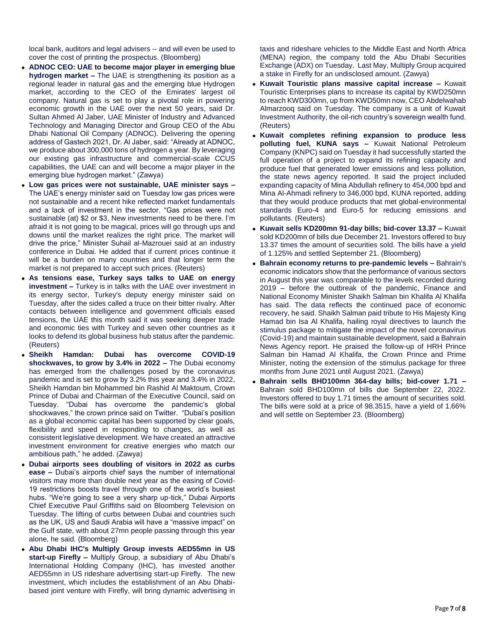local bank, auditors and legal advisers -- and will even be used to cover the cost of printing the prospectus. (Bloomberg)

- **ADNOC CEO: UAE to become major player in emerging blue hydrogen market –** The UAE is strengthening its position as a regional leader in natural gas and the emerging blue Hydrogen market, according to the CEO of the Emirates' largest oil company. Natural gas is set to play a pivotal role in powering economic growth in the UAE over the next 50 years, said Dr. Sultan Ahmed Al Jaber, UAE Minister of Industry and Advanced Technology and Managing Director and Group CEO of the Abu Dhabi National Oil Company (ADNOC). Delivering the opening address of Gastech 2021, Dr. Al Jaber, said: "Already at ADNOC, we produce about 300,000 tons of hydrogen a year. By leveraging our existing gas infrastructure and commercial-scale CCUS capabilities, the UAE can and will become a major player in the emerging blue hydrogen market." (Zawya)
- **Low gas prices were not sustainable, UAE minister says –** The UAE's energy minister said on Tuesday low gas prices were not sustainable and a recent hike reflected market fundamentals and a lack of investment in the sector. "Gas prices were not sustainable (at) \$2 or \$3. New investments need to be there. I'm afraid it is not going to be magical, prices will go through ups and downs until the market realizes the right price. The market will drive the price," Minister Suhail al-Mazrouei said at an industry conference in Dubai. He added that if current prices continue it will be a burden on many countries and that longer term the market is not prepared to accept such prices. (Reuters)
- **As tensions ease, Turkey says talks to UAE on energy investment –** Turkey is in talks with the UAE over investment in its energy sector, Turkey's deputy energy minister said on Tuesday, after the sides called a truce on their bitter rivalry. After contacts between intelligence and government officials eased tensions, the UAE this month said it was seeking deeper trade and economic ties with Turkey and seven other countries as it looks to defend its global business hub status after the pandemic. (Reuters)
- **Sheikh Hamdan: Dubai has overcome COVID-19 shockwaves, to grow by 3.4% in 2022 –** The Dubai economy has emerged from the challenges posed by the coronavirus pandemic and is set to grow by 3.2% this year and 3.4% in 2022, Sheikh Hamdan bin Mohammed bin Rashid Al Maktoum, Crown Prince of Dubai and Chairman of the Executive Council, said on Tuesday. "Dubai has overcome the pandemic's global shockwaves," the crown prince said on Twitter. "Dubai's position as a global economic capital has been supported by clear goals, flexibility and speed in responding to changes, as well as consistent legislative development. We have created an attractive investment environment for creative energies who match our ambitious path," he added. (Zawya)
- **Dubai airports sees doubling of visitors in 2022 as curbs ease –** Dubai's airports chief says the number of international visitors may more than double next year as the easing of Covid-19 restrictions boosts travel through one of the world's busiest hubs. "We're going to see a very sharp up-tick," Dubai Airports Chief Executive Paul Griffiths said on Bloomberg Television on Tuesday. The lifting of curbs between Dubai and countries such as the UK, US and Saudi Arabia will have a "massive impact" on the Gulf state, with about 27mn people passing through this year alone, he said. (Bloomberg)
- **Abu Dhabi IHC's Multiply Group invests AED55mn in US start-up Firefly –** Multiply Group, a subsidiary of Abu Dhabi's International Holding Company (IHC), has invested another AED55mn in US rideshare advertising start-up Firefly. The new investment, which includes the establishment of an Abu Dhabibased joint venture with Firefly, will bring dynamic advertising in

taxis and rideshare vehicles to the Middle East and North Africa (MENA) region, the company told the Abu Dhabi Securities Exchange (ADX) on Tuesday. Last May, Multiply Group acquired a stake in Firefly for an undisclosed amount. (Zawya)

- **Kuwait Touristic plans massive capital increase –** Kuwait Touristic Enterprises plans to increase its capital by KWD250mn to reach KWD300mn, up from KWD50mn now, CEO Abdelwahab Almarzooq said on Tuesday. The company is a unit of Kuwait Investment Authority, the oil-rich country's sovereign wealth fund. (Reuters)
- **Kuwait completes refining expansion to produce less polluting fuel, KUNA says –** Kuwait National Petroleum Company (KNPC) said on Tuesday it had successfully started the full operation of a project to expand its refining capacity and produce fuel that generated lower emissions and less pollution, the state news agency reported. It said the project included expanding capacity of Mina Abdullah refinery to 454,000 bpd and Mina Al-Ahmadi refinery to 346,000 bpd, KUNA reported, adding that they would produce products that met global-environmental standards Euro-4 and Euro-5 for reducing emissions and pollutants. (Reuters)
- **Kuwait sells KD200mn 91-day bills; bid-cover 13.37 –** Kuwait sold KD200mn of bills due December 21. Investors offered to buy 13.37 times the amount of securities sold. The bills have a yield of 1.125% and settled September 21. (Bloomberg)
- **Bahrain economy returns to pre-pandemic levels –** Bahrain's economic indicators show that the performance of various sectors in August this year was comparable to the levels recorded during 2019 – before the outbreak of the pandemic, Finance and National Economy Minister Shaikh Salman bin Khalifa Al Khalifa has said. The data reflects the continued pace of economic recovery, he said. Shaikh Salman paid tribute to His Majesty King Hamad bin Isa Al Khalifa, hailing royal directives to launch the stimulus package to mitigate the impact of the novel coronavirus (Covid-19) and maintain sustainable development, said a Bahrain News Agency report. He praised the follow-up of HRH Prince Salman bin Hamad Al Khalifa, the Crown Prince and Prime Minister, noting the extension of the stimulus package for three months from June 2021 until August 2021. (Zawya)
- **Bahrain sells BHD100mn 364-day bills; bid-cover 1.71 –** Bahrain sold BHD100mn of bills due September 22, 2022. Investors offered to buy 1.71 times the amount of securities sold. The bills were sold at a price of 98.3515, have a yield of 1.66% and will settle on September 23. (Bloomberg)